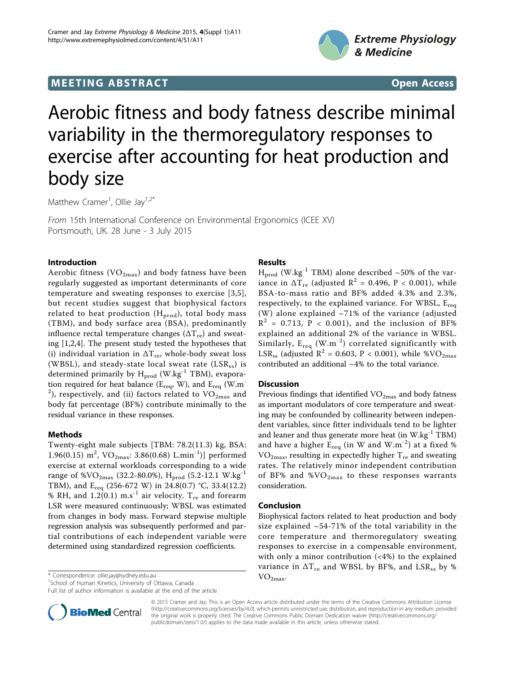## **MEETING ABSTRACT ACCESS**



# Aerobic fitness and body fatness describe minimal variability in the thermoregulatory responses to exercise after accounting for heat production and body size

Matthew Cramer<sup>1</sup>, Ollie Jay<sup>1,2\*</sup>

From 15th International Conference on Environmental Ergonomics (ICEE XV) Portsmouth, UK. 28 June - 3 July 2015

## Introduction

Aerobic fitness ( $VO_{2max}$ ) and body fatness have been regularly suggested as important determinants of core temperature and sweating responses to exercise [\[3](#page-1-0),[5](#page-1-0)], but recent studies suggest that biophysical factors related to heat production  $(H_{prod})$ , total body mass (TBM), and body surface area (BSA), predominantly influence rectal temperature changes  $(\Delta T_{\text{re}})$  and sweating [[1,2,4](#page-1-0)]. The present study tested the hypotheses that (i) individual variation in  $\Delta T_{\text{re}}$ , whole-body sweat loss (WBSL), and steady-state local sweat rate  $(LSR_{ss})$  is determined primarily by  $H_{prod}$  (W.kg<sup>-1</sup> TBM), evaporation required for heat balance ( $E_{req}$ , W), and  $E_{req}$  (W.m<sup>-</sup>  $^{2}$ ), respectively, and (ii) factors related to  $\rm VO_{2max}$  and body fat percentage (BF%) contribute minimally to the residual variance in these responses.

## Methods

Twenty-eight male subjects [TBM: 78.2(11.3) kg, BSA: 1.96(0.15) m<sup>2</sup>, VO<sub>2max</sub>: 3.86(0.68) L.min<sup>-1</sup>)] performed exercise at external workloads corresponding to a wide range of %VO<sub>2max</sub> (32.2-80.0%), H<sub>prod</sub> (5.2-12.1 W.kg<sup>-1</sup> TBM), and Ereq (256-672 W) in 24.8(0.7) °C, 33.4(12.2) % RH, and 1.2(0.1) m.s<sup>-1</sup> air velocity.  $T_{re}$  and forearm LSR were measured continuously; WBSL was estimated from changes in body mass. Forward stepwise multiple regression analysis was subsequently performed and partial contributions of each independent variable were determined using standardized regression coefficients.

VO2max. \* Correspondence: [ollie.jay@sydney.edu.au](mailto:ollie.jay@sydney.edu.au)

<sup>1</sup>School of Human Kinetics, University of Ottawa, Canada

Full list of author information is available at the end of the article

## Results

 $H_{\text{prod}}$  (W.kg<sup>-1</sup> TBM) alone described ~50% of the variance in  $\Delta T_{\text{re}}$  (adjusted  $R^2$  = 0.496, P < 0.001), while BSA-to-mass ratio and BF% added 4.3% and 2.3%, respectively, to the explained variance. For WBSL,  $E_{\text{rea}}$ (W) alone explained  $\sim$ 71% of the variance (adjusted  $R^2$  = 0.713, P < 0.001), and the inclusion of BF% explained an additional 2% of the variance in WBSL. Similarly,  $E_{req}$  (W.m<sup>-2</sup>) correlated significantly with LSR<sub>ss</sub> (adjusted R<sup>2</sup> = 0.603, P < 0.001), while %VO<sub>2max</sub> contributed an additional ~4% to the total variance.

### **Discussion**

Previous findings that identified  $VO_{2max}$  and body fatness as important modulators of core temperature and sweating may be confounded by collinearity between independent variables, since fitter individuals tend to be lighter and leaner and thus generate more heat (in  $W.kg^{-1} TBM$ ) and have a higher  $E_{\text{rea}}$  (in W and W.m<sup>-2</sup>) at a fixed %  $VO<sub>2max</sub>$ , resulting in expectedly higher  $T<sub>re</sub>$  and sweating rates. The relatively minor independent contribution of BF% and  $\%VO_{2max}$  to these responses warrants consideration.

### Conclusion

Biophysical factors related to heat production and body size explained  $\sim$  54-71% of the total variability in the core temperature and thermoregulatory sweating responses to exercise in a compensable environment, with only a minor contribution  $($ <4% $)$  to the explained variance in  $\Delta T_{\rm re}$  and WBSL by BF%, and LSR<sub>ss</sub> by %



© 2015 Cramer and Jay; This is an Open Access article distributed under the terms of the Creative Commons Attribution License [\(http://creativecommons.org/licenses/by/4.0](http://creativecommons.org/licenses/by/4.0)), which permits unrestricted use, distribution, and reproduction in any medium, provided the original work is properly cited. The Creative Commons Public Domain Dedication waiver ([http://creativecommons.org/](http://creativecommons.org/publicdomain/zero/1.0/) [publicdomain/zero/1.0/](http://creativecommons.org/publicdomain/zero/1.0/)) applies to the data made available in this article, unless otherwise stated